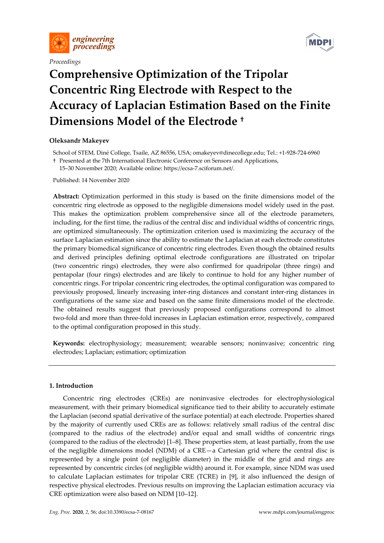

*Proceedings* 



# **Comprehensive Optimization of the Tripolar Concentric Ring Electrode with Respect to the Accuracy of Laplacian Estimation Based on the Finite Dimensions Model of the Electrode †**

# **Oleksandr Makeyev**

School of STEM, Diné College, Tsaile, AZ 86556, USA; omakeyev@dinecollege.edu; Tel.: +1-928-724-6960

† Presented at the 7th International Electronic Conference on Sensors and Applications,

15–30 November 2020; Available online: https://ecsa-7.sciforum.net/.

Published: 14 November 2020

**Abstract:** Optimization performed in this study is based on the finite dimensions model of the concentric ring electrode as opposed to the negligible dimensions model widely used in the past. This makes the optimization problem comprehensive since all of the electrode parameters, including, for the first time, the radius of the central disc and individual widths of concentric rings, are optimized simultaneously. The optimization criterion used is maximizing the accuracy of the surface Laplacian estimation since the ability to estimate the Laplacian at each electrode constitutes the primary biomedical significance of concentric ring electrodes. Even though the obtained results and derived principles defining optimal electrode configurations are illustrated on tripolar (two concentric rings) electrodes, they were also confirmed for quadripolar (three rings) and pentapolar (four rings) electrodes and are likely to continue to hold for any higher number of concentric rings. For tripolar concentric ring electrodes, the optimal configuration was compared to previously proposed, linearly increasing inter-ring distances and constant inter-ring distances in configurations of the same size and based on the same finite dimensions model of the electrode. The obtained results suggest that previously proposed configurations correspond to almost two-fold and more than three-fold increases in Laplacian estimation error, respectively, compared to the optimal configuration proposed in this study.

**Keywords:** electrophysiology; measurement; wearable sensors; noninvasive; concentric ring electrodes; Laplacian; estimation; optimization

## **1. Introduction**

Concentric ring electrodes (CREs) are noninvasive electrodes for electrophysiological measurement, with their primary biomedical significance tied to their ability to accurately estimate the Laplacian (second spatial derivative of the surface potential) at each electrode. Properties shared by the majority of currently used CREs are as follows: relatively small radius of the central disc (compared to the radius of the electrode) and/or equal and small widths of concentric rings (compared to the radius of the electrode) [1–8]. These properties stem, at least partially, from the use of the negligible dimensions model (NDM) of a CRE—a Cartesian grid where the central disc is represented by a single point (of negligible diameter) in the middle of the grid and rings are represented by concentric circles (of negligible width) around it. For example, since NDM was used to calculate Laplacian estimates for tripolar CRE (TCRE) in [9], it also influenced the design of respective physical electrodes. Previous results on improving the Laplacian estimation accuracy via CRE optimization were also based on NDM [10–12].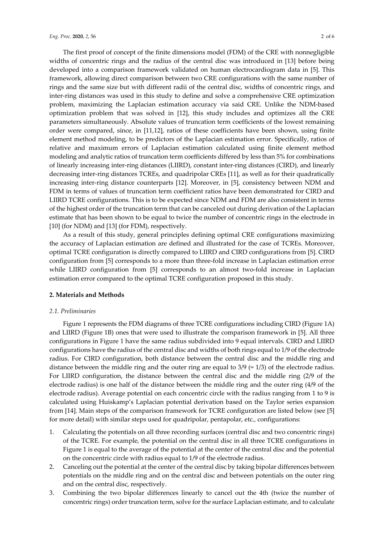The first proof of concept of the finite dimensions model (FDM) of the CRE with nonnegligible widths of concentric rings and the radius of the central disc was introduced in [13] before being developed into a comparison framework validated on human electrocardiogram data in [5]. This framework, allowing direct comparison between two CRE configurations with the same number of rings and the same size but with different radii of the central disc, widths of concentric rings, and inter-ring distances was used in this study to define and solve a comprehensive CRE optimization problem, maximizing the Laplacian estimation accuracy via said CRE. Unlike the NDM-based optimization problem that was solved in [12], this study includes and optimizes all the CRE parameters simultaneously. Absolute values of truncation term coefficients of the lowest remaining order were compared, since, in [11,12], ratios of these coefficients have been shown, using finite element method modeling, to be predictors of the Laplacian estimation error. Specifically, ratios of relative and maximum errors of Laplacian estimation calculated using finite element method modeling and analytic ratios of truncation term coefficients differed by less than 5% for combinations of linearly increasing inter-ring distances (LIIRD), constant inter-ring distances (CIRD), and linearly decreasing inter-ring distances TCREs, and quadripolar CREs [11], as well as for their quadratically increasing inter-ring distance counterparts [12]. Moreover, in [5], consistency between NDM and FDM in terms of values of truncation term coefficient ratios have been demonstrated for CIRD and LIIRD TCRE configurations. This is to be expected since NDM and FDM are also consistent in terms of the highest order of the truncation term that can be canceled out during derivation of the Laplacian estimate that has been shown to be equal to twice the number of concentric rings in the electrode in [10] (for NDM) and [13] (for FDM), respectively.

As a result of this study, general principles defining optimal CRE configurations maximizing the accuracy of Laplacian estimation are defined and illustrated for the case of TCREs. Moreover, optimal TCRE configuration is directly compared to LIIRD and CIRD configurations from [5]. CIRD configuration from [5] corresponds to a more than three-fold increase in Laplacian estimation error while LIIRD configuration from [5] corresponds to an almost two-fold increase in Laplacian estimation error compared to the optimal TCRE configuration proposed in this study.

## **2. Materials and Methods**

#### *2.1. Preliminaries*

Figure 1 represents the FDM diagrams of three TCRE configurations including CIRD (Figure 1A) and LIIRD (Figure 1B) ones that were used to illustrate the comparison framework in [5]. All three configurations in Figure 1 have the same radius subdivided into 9 equal intervals. CIRD and LIIRD configurations have the radius of the central disc and widths of both rings equal to 1/9 of the electrode radius. For CIRD configuration, both distance between the central disc and the middle ring and distance between the middle ring and the outer ring are equal to  $3/9$  (=  $1/3$ ) of the electrode radius. For LIIRD configuration, the distance between the central disc and the middle ring (2/9 of the electrode radius) is one half of the distance between the middle ring and the outer ring (4/9 of the electrode radius). Average potential on each concentric circle with the radius ranging from 1 to 9 is calculated using Huiskamp's Laplacian potential derivation based on the Taylor series expansion from [14]. Main steps of the comparison framework for TCRE configuration are listed below (see [5] for more detail) with similar steps used for quadripolar, pentapolar, etc., configurations:

- 1. Calculating the potentials on all three recording surfaces (central disc and two concentric rings) of the TCRE. For example, the potential on the central disc in all three TCRE configurations in Figure 1 is equal to the average of the potential at the center of the central disc and the potential on the concentric circle with radius equal to 1/9 of the electrode radius.
- 2. Canceling out the potential at the center of the central disc by taking bipolar differences between potentials on the middle ring and on the central disc and between potentials on the outer ring and on the central disc, respectively.
- 3. Combining the two bipolar differences linearly to cancel out the 4th (twice the number of concentric rings) order truncation term, solve for the surface Laplacian estimate, and to calculate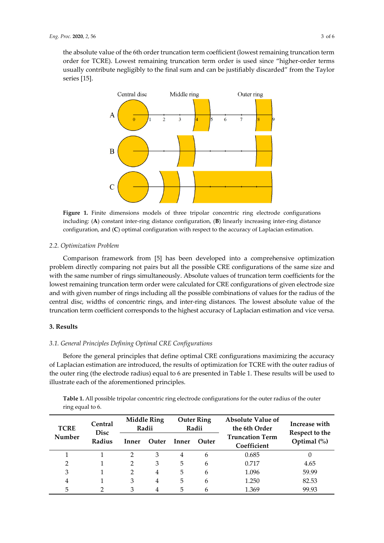the absolute value of the 6th order truncation term coefficient (lowest remaining truncation term order for TCRE). Lowest remaining truncation term order is used since "higher-order terms usually contribute negligibly to the final sum and can be justifiably discarded" from the Taylor series [15].



**Figure 1.** Finite dimensions models of three tripolar concentric ring electrode configurations including: (**A**) constant inter-ring distance configuration, (**B**) linearly increasing inter-ring distance configuration, and (**C**) optimal configuration with respect to the accuracy of Laplacian estimation.

## *2.2. Optimization Problem*

Comparison framework from [5] has been developed into a comprehensive optimization problem directly comparing not pairs but all the possible CRE configurations of the same size and with the same number of rings simultaneously. Absolute values of truncation term coefficients for the lowest remaining truncation term order were calculated for CRE configurations of given electrode size and with given number of rings including all the possible combinations of values for the radius of the central disc, widths of concentric rings, and inter-ring distances. The lowest absolute value of the truncation term coefficient corresponds to the highest accuracy of Laplacian estimation and vice versa.

## **3. Results**

## *3.1. General Principles Defining Optimal CRE Configurations*

Before the general principles that define optimal CRE configurations maximizing the accuracy of Laplacian estimation are introduced, the results of optimization for TCRE with the outer radius of the outer ring (the electrode radius) equal to 6 are presented in Table 1. These results will be used to illustrate each of the aforementioned principles.

**TCRE Number Central Disc Radius Middle Ring Radii Outer Ring Radii Absolute Value of the 6th Order Truncation Term Coefficient Increase with Respect to the**  Inner Outer Inner Outer **Indication Islam** Optimal (%) 1 1 2 3 4 6 0.685 0 2 1 2 3 5 6 0.717 4.65 3 1 2 4 5 6 1.096 59.99 4 1 3 4 5 6 1.250 82.53 5 2 3 4 5 6 1.369 99.93

**Table 1.** All possible tripolar concentric ring electrode configurations for the outer radius of the outer ring equal to 6.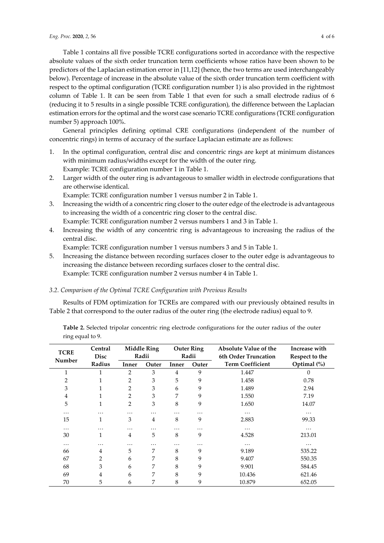Table 1 contains all five possible TCRE configurations sorted in accordance with the respective absolute values of the sixth order truncation term coefficients whose ratios have been shown to be predictors of the Laplacian estimation error in [11,12] (hence, the two terms are used interchangeably below). Percentage of increase in the absolute value of the sixth order truncation term coefficient with respect to the optimal configuration (TCRE configuration number 1) is also provided in the rightmost column of Table 1. It can be seen from Table 1 that even for such a small electrode radius of 6 (reducing it to 5 results in a single possible TCRE configuration), the difference between the Laplacian estimation errors for the optimal and the worst case scenario TCRE configurations (TCRE configuration number 5) approach 100%.

General principles defining optimal CRE configurations (independent of the number of concentric rings) in terms of accuracy of the surface Laplacian estimate are as follows:

- 1. In the optimal configuration, central disc and concentric rings are kept at minimum distances with minimum radius/widths except for the width of the outer ring. Example: TCRE configuration number 1 in Table 1.
- 2. Larger width of the outer ring is advantageous to smaller width in electrode configurations that are otherwise identical.

Example: TCRE configuration number 1 versus number 2 in Table 1.

- 3. Increasing the width of a concentric ring closer to the outer edge of the electrode is advantageous to increasing the width of a concentric ring closer to the central disc. Example: TCRE configuration number 2 versus numbers 1 and 3 in Table 1.
- 4. Increasing the width of any concentric ring is advantageous to increasing the radius of the central disc.

Example: TCRE configuration number 1 versus numbers 3 and 5 in Table 1.

5. Increasing the distance between recording surfaces closer to the outer edge is advantageous to increasing the distance between recording surfaces closer to the central disc. Example: TCRE configuration number 2 versus number 4 in Table 1.

## *3.2. Comparison of the Optimal TCRE Configuration with Previous Results*

Results of FDM optimization for TCREs are compared with our previously obtained results in Table 2 that correspond to the outer radius of the outer ring (the electrode radius) equal to 9.

**Table 2.** Selected tripolar concentric ring electrode configurations for the outer radius of the outer ring equal to 9.

| <b>TCRE</b><br>Number | Central<br><b>Disc</b> | <b>Middle Ring</b><br>Radii |                | <b>Outer Ring</b><br>Radii |       | <b>Absolute Value of the</b><br>6th Order Truncation | Increase with<br>Respect to the |
|-----------------------|------------------------|-----------------------------|----------------|----------------------------|-------|------------------------------------------------------|---------------------------------|
|                       | Radius                 | Inner                       | Outer          | Inner                      | Outer | <b>Term Coefficient</b>                              | Optimal $(\%)$                  |
|                       |                        | 2                           | 3              | 4                          | 9     | 1.447                                                | $\theta$                        |
| 2                     | 1                      | 2                           | 3              | 5                          | 9     | 1.458                                                | 0.78                            |
| 3                     | 1                      | 2                           | 3              | 6                          | 9     | 1.489                                                | 2.94                            |
| 4                     | 1                      | 2                           | 3              | 7                          | 9     | 1.550                                                | 7.19                            |
| 5                     | 1                      | 2                           | 3              | 8                          | 9     | 1.650                                                | 14.07                           |
| .                     | .                      | .                           | $\cdots$       | .                          | .     | $\cdots$                                             | $\cdots$                        |
| 15                    | 1                      | 3                           | $\overline{4}$ | 8                          | 9     | 2.883                                                | 99.33                           |
| .                     | .                      | .                           | .              | .                          | .     | $\cdots$                                             | .                               |
| 30                    | 1                      | 4                           | 5              | 8                          | 9     | 4.528                                                | 213.01                          |
| .                     | .                      | .                           | .              | .                          | .     | $\cdots$                                             | $\cdots$                        |
| 66                    | 4                      | 5                           | 7              | 8                          | 9     | 9.189                                                | 535.22                          |
| 67                    | 2                      | 6                           | 7              | 8                          | 9     | 9.407                                                | 550.35                          |
| 68                    | 3                      | 6                           | 7              | 8                          | 9     | 9.901                                                | 584.45                          |
| 69                    | 4                      | 6                           | 7              | 8                          | 9     | 10.436                                               | 621.46                          |
| 70                    | 5                      | 6                           | 7              | 8                          | 9     | 10.879                                               | 652.05                          |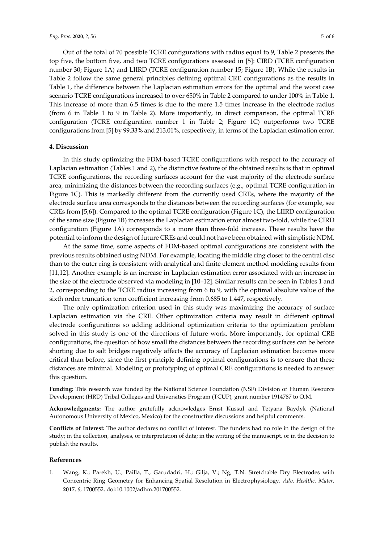Out of the total of 70 possible TCRE configurations with radius equal to 9, Table 2 presents the top five, the bottom five, and two TCRE configurations assessed in [5]: CIRD (TCRE configuration number 30; Figure 1A) and LIIRD (TCRE configuration number 15; Figure 1B). While the results in Table 2 follow the same general principles defining optimal CRE configurations as the results in Table 1, the difference between the Laplacian estimation errors for the optimal and the worst case scenario TCRE configurations increased to over 650% in Table 2 compared to under 100% in Table 1. This increase of more than 6.5 times is due to the mere 1.5 times increase in the electrode radius (from 6 in Table 1 to 9 in Table 2). More importantly, in direct comparison, the optimal TCRE configuration (TCRE configuration number 1 in Table 2; Figure 1C) outperforms two TCRE configurations from [5] by 99.33% and 213.01%, respectively, in terms of the Laplacian estimation error.

#### **4. Discussion**

In this study optimizing the FDM-based TCRE configurations with respect to the accuracy of Laplacian estimation (Tables 1 and 2), the distinctive feature of the obtained results is that in optimal TCRE configurations, the recording surfaces account for the vast majority of the electrode surface area, minimizing the distances between the recording surfaces (e.g., optimal TCRE configuration in Figure 1C). This is markedly different from the currently used CREs, where the majority of the electrode surface area corresponds to the distances between the recording surfaces (for example, see CREs from [5,6]). Compared to the optimal TCRE configuration (Figure 1C), the LIIRD configuration of the same size (Figure 1B) increases the Laplacian estimation error almost two-fold, while the CIRD configuration (Figure 1A) corresponds to a more than three-fold increase. These results have the potential to inform the design of future CREs and could not have been obtained with simplistic NDM.

At the same time, some aspects of FDM-based optimal configurations are consistent with the previous results obtained using NDM. For example, locating the middle ring closer to the central disc than to the outer ring is consistent with analytical and finite element method modeling results from [11,12]. Another example is an increase in Laplacian estimation error associated with an increase in the size of the electrode observed via modeling in [10–12]. Similar results can be seen in Tables 1 and 2, corresponding to the TCRE radius increasing from 6 to 9, with the optimal absolute value of the sixth order truncation term coefficient increasing from 0.685 to 1.447, respectively.

The only optimization criterion used in this study was maximizing the accuracy of surface Laplacian estimation via the CRE. Other optimization criteria may result in different optimal electrode configurations so adding additional optimization criteria to the optimization problem solved in this study is one of the directions of future work. More importantly, for optimal CRE configurations, the question of how small the distances between the recording surfaces can be before shorting due to salt bridges negatively affects the accuracy of Laplacian estimation becomes more critical than before, since the first principle defining optimal configurations is to ensure that these distances are minimal. Modeling or prototyping of optimal CRE configurations is needed to answer this question.

**Funding:** This research was funded by the National Science Foundation (NSF) Division of Human Resource Development (HRD) Tribal Colleges and Universities Program (TCUP), grant number 1914787 to O.M.

**Acknowledgments:** The author gratefully acknowledges Ernst Kussul and Tetyana Baydyk (National Autonomous University of Mexico, Mexico) for the constructive discussions and helpful comments.

**Conflicts of Interest:** The author declares no conflict of interest. The funders had no role in the design of the study; in the collection, analyses, or interpretation of data; in the writing of the manuscript, or in the decision to publish the results.

#### **References**

1. Wang, K.; Parekh, U.; Pailla, T.; Garudadri, H.; Gilja, V.; Ng, T.N. Stretchable Dry Electrodes with Concentric Ring Geometry for Enhancing Spatial Resolution in Electrophysiology. *Adv. Healthc. Mater.* **2017**, *6*, 1700552, doi:10.1002/adhm.201700552.